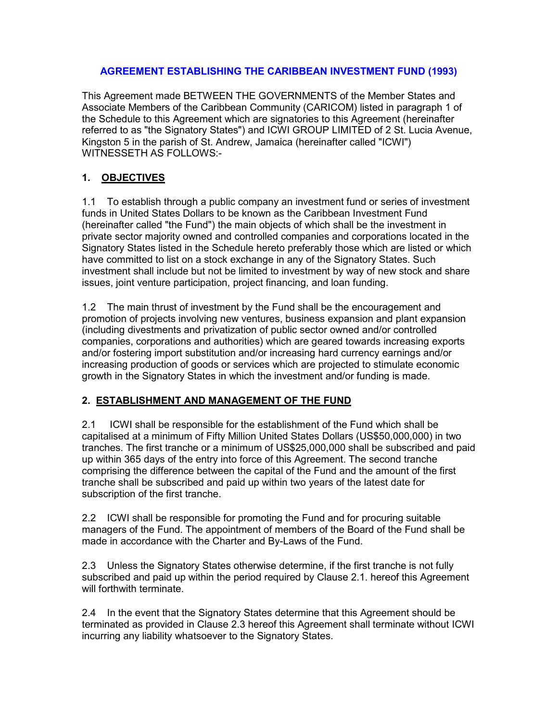#### AGREEMENT ESTABLISHING THE CARIBBEAN INVESTMENT FUND (1993)

This Agreement made BETWEEN THE GOVERNMENTS of the Member States and Associate Members of the Caribbean Community (CARICOM) listed in paragraph 1 of the Schedule to this Agreement which are signatories to this Agreement (hereinafter referred to as "the Signatory States") and ICWI GROUP LIMITED of 2 St. Lucia Avenue, Kingston 5 in the parish of St. Andrew, Jamaica (hereinafter called "ICWI") WITNESSETH AS FOLLOWS:-

## 1. OBJECTIVES

1.1 To establish through a public company an investment fund or series of investment funds in United States Dollars to be known as the Caribbean Investment Fund (hereinafter called "the Fund") the main objects of which shall be the investment in private sector majority owned and controlled companies and corporations located in the Signatory States listed in the Schedule hereto preferably those which are listed or which have committed to list on a stock exchange in any of the Signatory States. Such investment shall include but not be limited to investment by way of new stock and share issues, joint venture participation, project financing, and loan funding.

1.2 The main thrust of investment by the Fund shall be the encouragement and promotion of projects involving new ventures, business expansion and plant expansion (including divestments and privatization of public sector owned and/or controlled companies, corporations and authorities) which are geared towards increasing exports and/or fostering import substitution and/or increasing hard currency earnings and/or increasing production of goods or services which are projected to stimulate economic growth in the Signatory States in which the investment and/or funding is made.

## 2. ESTABLISHMENT AND MANAGEMENT OF THE FUND

2.1 ICWI shall be responsible for the establishment of the Fund which shall be capitalised at a minimum of Fifty Million United States Dollars (US\$50,000,000) in two tranches. The first tranche or a minimum of US\$25,000,000 shall be subscribed and paid up within 365 days of the entry into force of this Agreement. The second tranche comprising the difference between the capital of the Fund and the amount of the first tranche shall be subscribed and paid up within two years of the latest date for subscription of the first tranche.

2.2 ICWI shall be responsible for promoting the Fund and for procuring suitable managers of the Fund. The appointment of members of the Board of the Fund shall be made in accordance with the Charter and By-Laws of the Fund.

2.3 Unless the Signatory States otherwise determine, if the first tranche is not fully subscribed and paid up within the period required by Clause 2.1. hereof this Agreement will forthwith terminate.

2.4 In the event that the Signatory States determine that this Agreement should be terminated as provided in Clause 2.3 hereof this Agreement shall terminate without ICWI incurring any liability whatsoever to the Signatory States.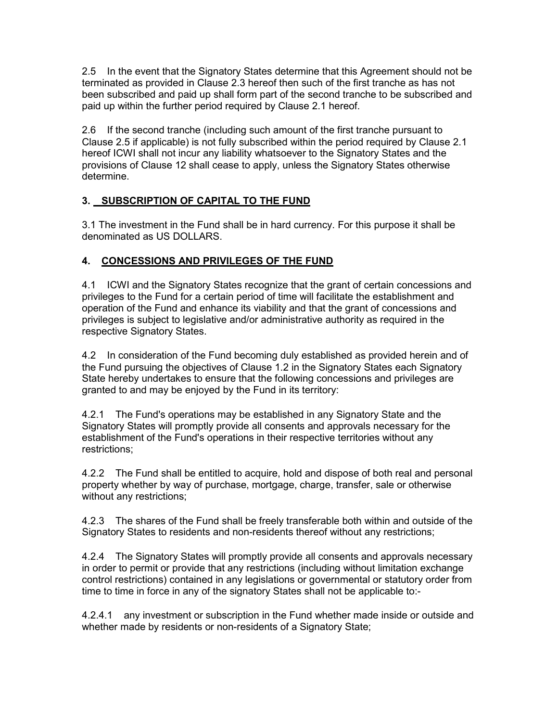2.5 In the event that the Signatory States determine that this Agreement should not be terminated as provided in Clause 2.3 hereof then such of the first tranche as has not been subscribed and paid up shall form part of the second tranche to be subscribed and paid up within the further period required by Clause 2.1 hereof.

2.6 If the second tranche (including such amount of the first tranche pursuant to Clause 2.5 if applicable) is not fully subscribed within the period required by Clause 2.1 hereof ICWI shall not incur any liability whatsoever to the Signatory States and the provisions of Clause 12 shall cease to apply, unless the Signatory States otherwise determine.

## 3. SUBSCRIPTION OF CAPITAL TO THE FUND

3.1 The investment in the Fund shall be in hard currency. For this purpose it shall be denominated as US DOLLARS.

# 4. CONCESSIONS AND PRIVILEGES OF THE FUND

4.1 ICWI and the Signatory States recognize that the grant of certain concessions and privileges to the Fund for a certain period of time will facilitate the establishment and operation of the Fund and enhance its viability and that the grant of concessions and privileges is subject to legislative and/or administrative authority as required in the respective Signatory States.

4.2 In consideration of the Fund becoming duly established as provided herein and of the Fund pursuing the objectives of Clause 1.2 in the Signatory States each Signatory State hereby undertakes to ensure that the following concessions and privileges are granted to and may be enjoyed by the Fund in its territory:

4.2.1 The Fund's operations may be established in any Signatory State and the Signatory States will promptly provide all consents and approvals necessary for the establishment of the Fund's operations in their respective territories without any restrictions;

4.2.2 The Fund shall be entitled to acquire, hold and dispose of both real and personal property whether by way of purchase, mortgage, charge, transfer, sale or otherwise without any restrictions;

4.2.3 The shares of the Fund shall be freely transferable both within and outside of the Signatory States to residents and non-residents thereof without any restrictions;

4.2.4 The Signatory States will promptly provide all consents and approvals necessary in order to permit or provide that any restrictions (including without limitation exchange control restrictions) contained in any legislations or governmental or statutory order from time to time in force in any of the signatory States shall not be applicable to:-

4.2.4.1 any investment or subscription in the Fund whether made inside or outside and whether made by residents or non-residents of a Signatory State;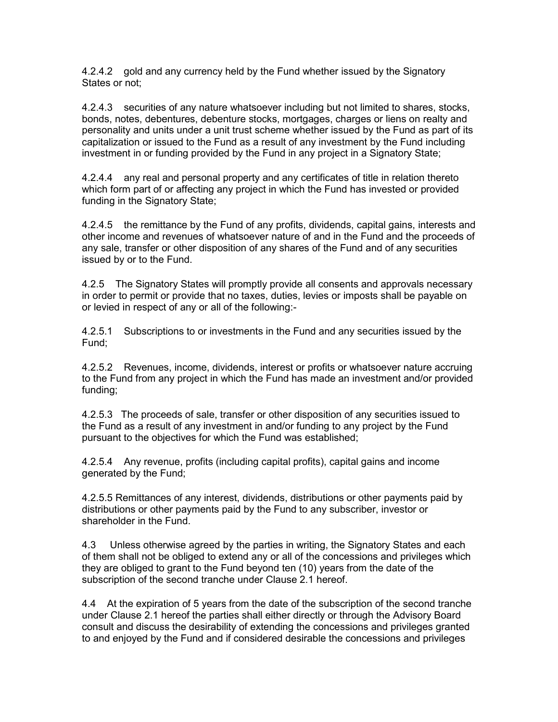4.2.4.2 gold and any currency held by the Fund whether issued by the Signatory States or not;

4.2.4.3 securities of any nature whatsoever including but not limited to shares, stocks, bonds, notes, debentures, debenture stocks, mortgages, charges or liens on realty and personality and units under a unit trust scheme whether issued by the Fund as part of its capitalization or issued to the Fund as a result of any investment by the Fund including investment in or funding provided by the Fund in any project in a Signatory State;

4.2.4.4 any real and personal property and any certificates of title in relation thereto which form part of or affecting any project in which the Fund has invested or provided funding in the Signatory State;

4.2.4.5 the remittance by the Fund of any profits, dividends, capital gains, interests and other income and revenues of whatsoever nature of and in the Fund and the proceeds of any sale, transfer or other disposition of any shares of the Fund and of any securities issued by or to the Fund.

4.2.5 The Signatory States will promptly provide all consents and approvals necessary in order to permit or provide that no taxes, duties, levies or imposts shall be payable on or levied in respect of any or all of the following:-

4.2.5.1 Subscriptions to or investments in the Fund and any securities issued by the Fund;

4.2.5.2 Revenues, income, dividends, interest or profits or whatsoever nature accruing to the Fund from any project in which the Fund has made an investment and/or provided funding;

4.2.5.3 The proceeds of sale, transfer or other disposition of any securities issued to the Fund as a result of any investment in and/or funding to any project by the Fund pursuant to the objectives for which the Fund was established;

4.2.5.4 Any revenue, profits (including capital profits), capital gains and income generated by the Fund;

4.2.5.5 Remittances of any interest, dividends, distributions or other payments paid by distributions or other payments paid by the Fund to any subscriber, investor or shareholder in the Fund.

4.3 Unless otherwise agreed by the parties in writing, the Signatory States and each of them shall not be obliged to extend any or all of the concessions and privileges which they are obliged to grant to the Fund beyond ten (10) years from the date of the subscription of the second tranche under Clause 2.1 hereof.

4.4 At the expiration of 5 years from the date of the subscription of the second tranche under Clause 2.1 hereof the parties shall either directly or through the Advisory Board consult and discuss the desirability of extending the concessions and privileges granted to and enjoyed by the Fund and if considered desirable the concessions and privileges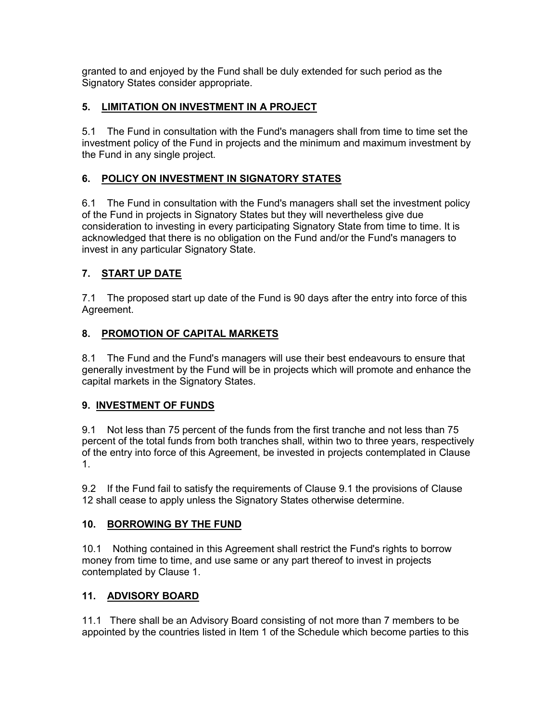granted to and enjoyed by the Fund shall be duly extended for such period as the Signatory States consider appropriate.

## 5. LIMITATION ON INVESTMENT IN A PROJECT

5.1 The Fund in consultation with the Fund's managers shall from time to time set the investment policy of the Fund in projects and the minimum and maximum investment by the Fund in any single project.

#### 6. POLICY ON INVESTMENT IN SIGNATORY STATES

6.1 The Fund in consultation with the Fund's managers shall set the investment policy of the Fund in projects in Signatory States but they will nevertheless give due consideration to investing in every participating Signatory State from time to time. It is acknowledged that there is no obligation on the Fund and/or the Fund's managers to invest in any particular Signatory State.

# 7. START UP DATE

7.1 The proposed start up date of the Fund is 90 days after the entry into force of this Agreement.

#### 8. PROMOTION OF CAPITAL MARKETS

8.1 The Fund and the Fund's managers will use their best endeavours to ensure that generally investment by the Fund will be in projects which will promote and enhance the capital markets in the Signatory States.

#### 9. INVESTMENT OF FUNDS

9.1 Not less than 75 percent of the funds from the first tranche and not less than 75 percent of the total funds from both tranches shall, within two to three years, respectively of the entry into force of this Agreement, be invested in projects contemplated in Clause 1.

9.2 If the Fund fail to satisfy the requirements of Clause 9.1 the provisions of Clause 12 shall cease to apply unless the Signatory States otherwise determine.

#### 10. BORROWING BY THE FUND

10.1 Nothing contained in this Agreement shall restrict the Fund's rights to borrow money from time to time, and use same or any part thereof to invest in projects contemplated by Clause 1.

## 11. ADVISORY BOARD

11.1 There shall be an Advisory Board consisting of not more than 7 members to be appointed by the countries listed in Item 1 of the Schedule which become parties to this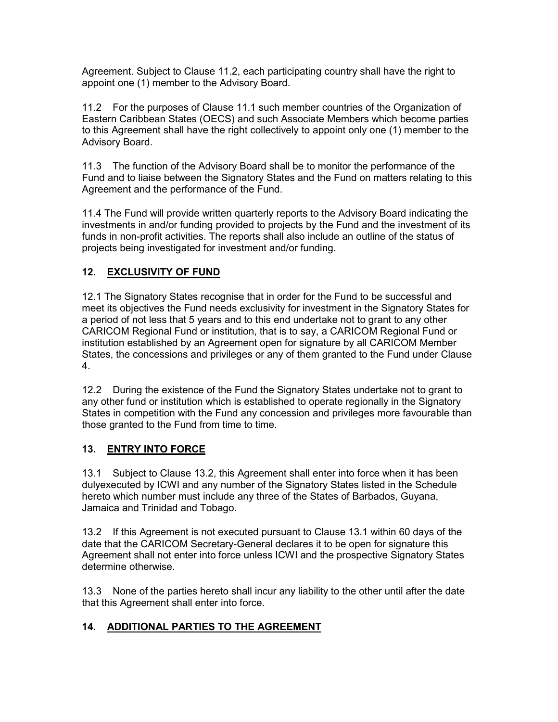Agreement. Subject to Clause 11.2, each participating country shall have the right to appoint one (1) member to the Advisory Board.

11.2 For the purposes of Clause 11.1 such member countries of the Organization of Eastern Caribbean States (OECS) and such Associate Members which become parties to this Agreement shall have the right collectively to appoint only one (1) member to the Advisory Board.

11.3 The function of the Advisory Board shall be to monitor the performance of the Fund and to liaise between the Signatory States and the Fund on matters relating to this Agreement and the performance of the Fund.

11.4 The Fund will provide written quarterly reports to the Advisory Board indicating the investments in and/or funding provided to projects by the Fund and the investment of its funds in non-profit activities. The reports shall also include an outline of the status of projects being investigated for investment and/or funding.

## 12. EXCLUSIVITY OF FUND

12.1 The Signatory States recognise that in order for the Fund to be successful and meet its objectives the Fund needs exclusivity for investment in the Signatory States for a period of not less that 5 years and to this end undertake not to grant to any other CARICOM Regional Fund or institution, that is to say, a CARICOM Regional Fund or institution established by an Agreement open for signature by all CARICOM Member States, the concessions and privileges or any of them granted to the Fund under Clause 4.

12.2 During the existence of the Fund the Signatory States undertake not to grant to any other fund or institution which is established to operate regionally in the Signatory States in competition with the Fund any concession and privileges more favourable than those granted to the Fund from time to time.

## 13. ENTRY INTO FORCE

13.1 Subject to Clause 13.2, this Agreement shall enter into force when it has been dulyexecuted by ICWI and any number of the Signatory States listed in the Schedule hereto which number must include any three of the States of Barbados, Guyana, Jamaica and Trinidad and Tobago.

13.2 If this Agreement is not executed pursuant to Clause 13.1 within 60 days of the date that the CARICOM Secretary-General declares it to be open for signature this Agreement shall not enter into force unless ICWI and the prospective Signatory States determine otherwise.

13.3 None of the parties hereto shall incur any liability to the other until after the date that this Agreement shall enter into force.

## 14. ADDITIONAL PARTIES TO THE AGREEMENT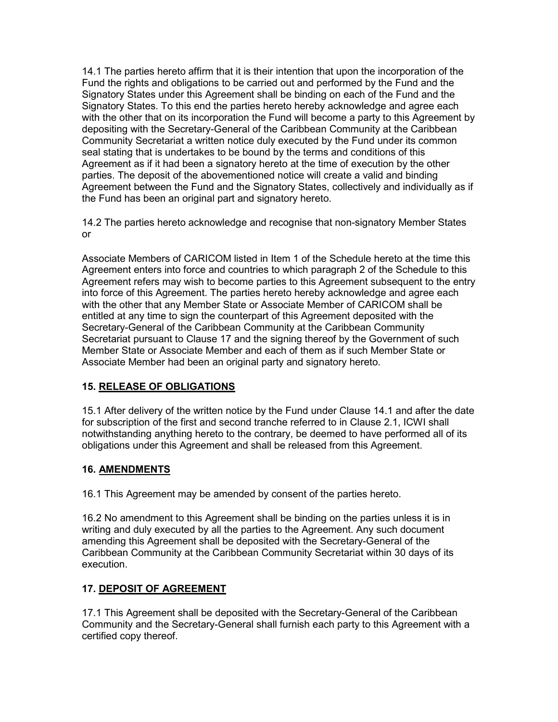14.1 The parties hereto affirm that it is their intention that upon the incorporation of the Fund the rights and obligations to be carried out and performed by the Fund and the Signatory States under this Agreement shall be binding on each of the Fund and the Signatory States. To this end the parties hereto hereby acknowledge and agree each with the other that on its incorporation the Fund will become a party to this Agreement by depositing with the Secretary-General of the Caribbean Community at the Caribbean Community Secretariat a written notice duly executed by the Fund under its common seal stating that is undertakes to be bound by the terms and conditions of this Agreement as if it had been a signatory hereto at the time of execution by the other parties. The deposit of the abovementioned notice will create a valid and binding Agreement between the Fund and the Signatory States, collectively and individually as if the Fund has been an original part and signatory hereto.

14.2 The parties hereto acknowledge and recognise that non-signatory Member States or

Associate Members of CARICOM listed in Item 1 of the Schedule hereto at the time this Agreement enters into force and countries to which paragraph 2 of the Schedule to this Agreement refers may wish to become parties to this Agreement subsequent to the entry into force of this Agreement. The parties hereto hereby acknowledge and agree each with the other that any Member State or Associate Member of CARICOM shall be entitled at any time to sign the counterpart of this Agreement deposited with the Secretary-General of the Caribbean Community at the Caribbean Community Secretariat pursuant to Clause 17 and the signing thereof by the Government of such Member State or Associate Member and each of them as if such Member State or Associate Member had been an original party and signatory hereto.

## 15. RELEASE OF OBLIGATIONS

15.1 After delivery of the written notice by the Fund under Clause 14.1 and after the date for subscription of the first and second tranche referred to in Clause 2.1, ICWI shall notwithstanding anything hereto to the contrary, be deemed to have performed all of its obligations under this Agreement and shall be released from this Agreement.

## 16. AMENDMENTS

16.1 This Agreement may be amended by consent of the parties hereto.

16.2 No amendment to this Agreement shall be binding on the parties unless it is in writing and duly executed by all the parties to the Agreement. Any such document amending this Agreement shall be deposited with the Secretary-General of the Caribbean Community at the Caribbean Community Secretariat within 30 days of its execution.

## 17. DEPOSIT OF AGREEMENT

17.1 This Agreement shall be deposited with the Secretary-General of the Caribbean Community and the Secretary-General shall furnish each party to this Agreement with a certified copy thereof.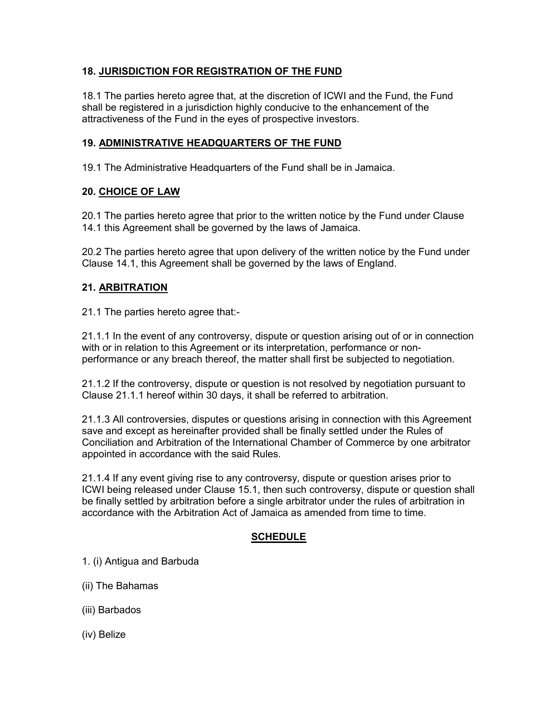# 18. JURISDICTION FOR REGISTRATION OF THE FUND

18.1 The parties hereto agree that, at the discretion of ICWI and the Fund, the Fund shall be registered in a jurisdiction highly conducive to the enhancement of the attractiveness of the Fund in the eyes of prospective investors.

## 19. ADMINISTRATIVE HEADQUARTERS OF THE FUND

19.1 The Administrative Headquarters of the Fund shall be in Jamaica.

## 20. CHOICE OF LAW

20.1 The parties hereto agree that prior to the written notice by the Fund under Clause 14.1 this Agreement shall be governed by the laws of Jamaica.

20.2 The parties hereto agree that upon delivery of the written notice by the Fund under Clause 14.1, this Agreement shall be governed by the laws of England.

## 21. ARBITRATION

21.1 The parties hereto agree that:-

21.1.1 In the event of any controversy, dispute or question arising out of or in connection with or in relation to this Agreement or its interpretation, performance or nonperformance or any breach thereof, the matter shall first be subjected to negotiation.

21.1.2 If the controversy, dispute or question is not resolved by negotiation pursuant to Clause 21.1.1 hereof within 30 days, it shall be referred to arbitration.

21.1.3 All controversies, disputes or questions arising in connection with this Agreement save and except as hereinafter provided shall be finally settled under the Rules of Conciliation and Arbitration of the International Chamber of Commerce by one arbitrator appointed in accordance with the said Rules.

21.1.4 If any event giving rise to any controversy, dispute or question arises prior to ICWI being released under Clause 15.1, then such controversy, dispute or question shall be finally settled by arbitration before a single arbitrator under the rules of arbitration in accordance with the Arbitration Act of Jamaica as amended from time to time.

## **SCHEDULE**

1. (i) Antigua and Barbuda

- (ii) The Bahamas
- (iii) Barbados
- (iv) Belize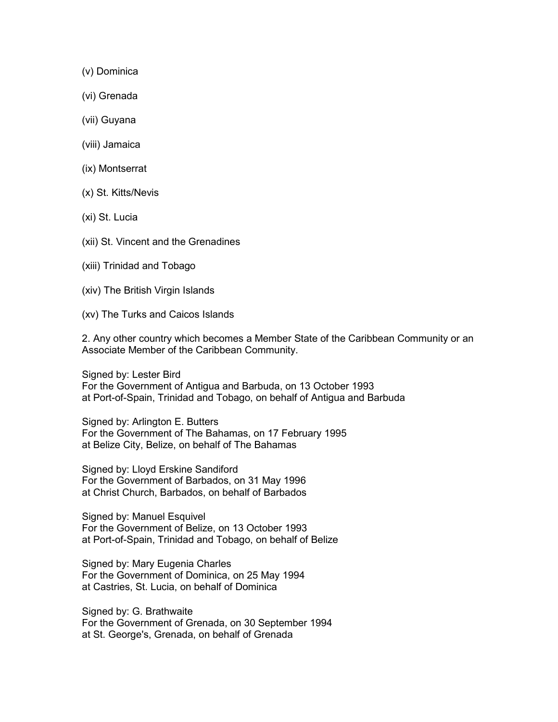- (v) Dominica
- (vi) Grenada
- (vii) Guyana
- (viii) Jamaica
- (ix) Montserrat
- (x) St. Kitts/Nevis
- (xi) St. Lucia
- (xii) St. Vincent and the Grenadines
- (xiii) Trinidad and Tobago
- (xiv) The British Virgin Islands
- (xv) The Turks and Caicos Islands

2. Any other country which becomes a Member State of the Caribbean Community or an Associate Member of the Caribbean Community.

Signed by: Lester Bird For the Government of Antigua and Barbuda, on 13 October 1993 at Port-of-Spain, Trinidad and Tobago, on behalf of Antigua and Barbuda

Signed by: Arlington E. Butters For the Government of The Bahamas, on 17 February 1995 at Belize City, Belize, on behalf of The Bahamas

Signed by: Lloyd Erskine Sandiford For the Government of Barbados, on 31 May 1996 at Christ Church, Barbados, on behalf of Barbados

Signed by: Manuel Esquivel For the Government of Belize, on 13 October 1993 at Port-of-Spain, Trinidad and Tobago, on behalf of Belize

Signed by: Mary Eugenia Charles For the Government of Dominica, on 25 May 1994 at Castries, St. Lucia, on behalf of Dominica

Signed by: G. Brathwaite For the Government of Grenada, on 30 September 1994 at St. George's, Grenada, on behalf of Grenada